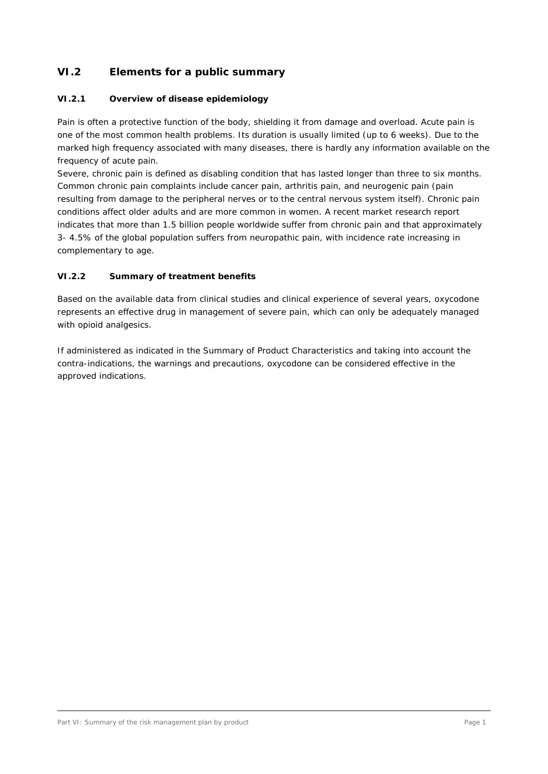# **VI.2 Elements for a public summary**

### **VI.2.1 Overview of disease epidemiology**

Pain is often a protective function of the body, shielding it from damage and overload. Acute pain is one of the most common health problems. Its duration is usually limited (up to 6 weeks). Due to the marked high frequency associated with many diseases, there is hardly any information available on the frequency of acute pain.

Severe, chronic pain is defined as disabling condition that has lasted longer than three to six months. Common chronic pain complaints include cancer pain, arthritis pain, and neurogenic pain (pain resulting from damage to the peripheral nerves or to the central nervous system itself). Chronic pain conditions affect older adults and are more common in women. A recent market research report indicates that more than 1.5 billion people worldwide suffer from chronic pain and that approximately 3- 4.5% of the global population suffers from neuropathic pain, with incidence rate increasing in complementary to age.

### **VI.2.2 Summary of treatment benefits**

Based on the available data from clinical studies and clinical experience of several years, oxycodone represents an effective drug in management of severe pain, which can only be adequately managed with opioid analgesics.

If administered as indicated in the Summary of Product Characteristics and taking into account the contra-indications, the warnings and precautions, oxycodone can be considered effective in the approved indications.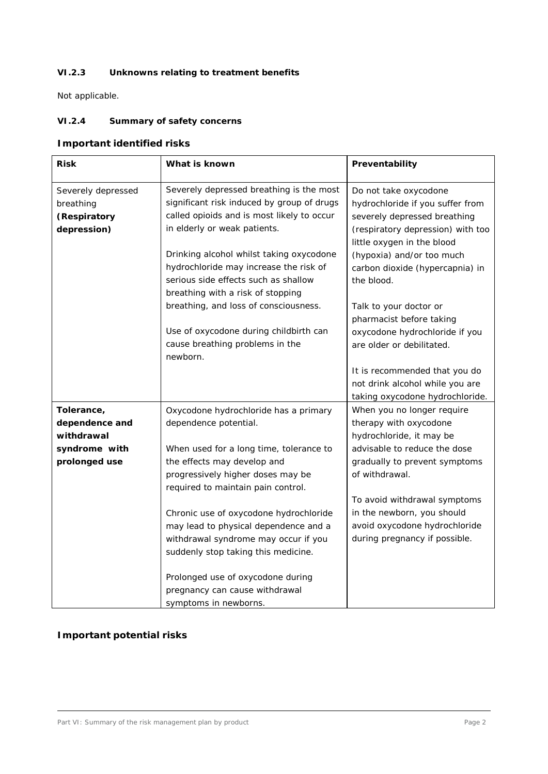### **VI.2.3 Unknowns relating to treatment benefits**

Not applicable.

## **VI.2.4 Summary of safety concerns**

# **Important identified risks**

| <b>Risk</b>                                                                  | What is known                                                                                                                                                                                                                                                                                                                                                                                                                                                             | Preventability                                                                                                                                                                                                                                                                                                                                                                                   |
|------------------------------------------------------------------------------|---------------------------------------------------------------------------------------------------------------------------------------------------------------------------------------------------------------------------------------------------------------------------------------------------------------------------------------------------------------------------------------------------------------------------------------------------------------------------|--------------------------------------------------------------------------------------------------------------------------------------------------------------------------------------------------------------------------------------------------------------------------------------------------------------------------------------------------------------------------------------------------|
| Severely depressed<br>breathing<br>(Respiratory<br>depression)               | Severely depressed breathing is the most<br>significant risk induced by group of drugs<br>called opioids and is most likely to occur<br>in elderly or weak patients.<br>Drinking alcohol whilst taking oxycodone<br>hydrochloride may increase the risk of<br>serious side effects such as shallow<br>breathing with a risk of stopping<br>breathing, and loss of consciousness.<br>Use of oxycodone during childbirth can<br>cause breathing problems in the<br>newborn. | Do not take oxycodone<br>hydrochloride if you suffer from<br>severely depressed breathing<br>(respiratory depression) with too<br>little oxygen in the blood<br>(hypoxia) and/or too much<br>carbon dioxide (hypercapnia) in<br>the blood.<br>Talk to your doctor or<br>pharmacist before taking<br>oxycodone hydrochloride if you<br>are older or debilitated.<br>It is recommended that you do |
|                                                                              |                                                                                                                                                                                                                                                                                                                                                                                                                                                                           | not drink alcohol while you are<br>taking oxycodone hydrochloride.                                                                                                                                                                                                                                                                                                                               |
| Tolerance,<br>dependence and<br>withdrawal<br>syndrome with<br>prolonged use | Oxycodone hydrochloride has a primary<br>dependence potential.<br>When used for a long time, tolerance to<br>the effects may develop and<br>progressively higher doses may be<br>required to maintain pain control.                                                                                                                                                                                                                                                       | When you no longer require<br>therapy with oxycodone<br>hydrochloride, it may be<br>advisable to reduce the dose<br>gradually to prevent symptoms<br>of withdrawal.<br>To avoid withdrawal symptoms                                                                                                                                                                                              |
|                                                                              | Chronic use of oxycodone hydrochloride<br>may lead to physical dependence and a<br>withdrawal syndrome may occur if you<br>suddenly stop taking this medicine.<br>Prolonged use of oxycodone during<br>pregnancy can cause withdrawal<br>symptoms in newborns.                                                                                                                                                                                                            | in the newborn, you should<br>avoid oxycodone hydrochloride<br>during pregnancy if possible.                                                                                                                                                                                                                                                                                                     |

# **Important potential risks**